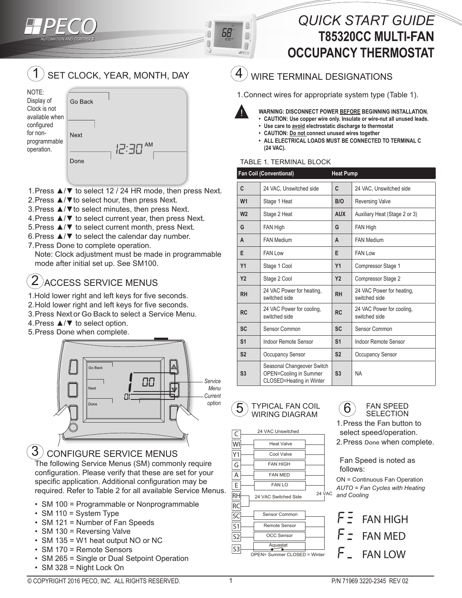# *QUICK START GUIDE*  **T85320CC MULTI-FAN OCCUPANCY THERMOSTAT**





- 1.Press ▲/▼ to select 12 / 24 HR mode, then press **Next**.
- 2.Press ▲/▼to select hour, then press **Next**.
- 3.Press ▲/▼to select minutes, then press **Next**.
- 4.Press ▲/▼ to select current year, then press **Next**.
- 5.Press ▲/▼ to select current month, press **Next**.
- 6.Press ▲/▼ to select the calendar day number.
- 7.Press **Done** to complete operation.

Note: Clock adjustment must be made in programmable mode after initial set up. See SM100.

#### ACCESS SERVICE MENUS 2

- 1.Hold lower right and left keys for five seconds.
- 2.Hold lower right and left keys for five seconds.
- 3.Press **Next**or **Go Back**to select a Service Menu.
- 4.Press ▲/▼ to select option.
- 5.Press **Done** when complete.



#### CONFIGURE SERVICE MENUS 3

The following Service Menus (SM) commonly require configuration. Please verify that these are set for your specific application. Additional configuration may be required. Refer to Table 2 for all available Service Menus.

- SM 100 = Programmable or Nonprogrammable
- SM 110 = System Type
- SM 121 = Number of Fan Speeds
- SM 130 = Reversing Valve
- SM 135 = W1 heat output NO or NC
- SM 170 = Remote Sensors
- SM 265 = Single or Dual Setpoint Operation
- SM 328 = Night Lock On

## WIRE TERMINAL DESIGNATIONS

1.Connect wires for appropriate system type (Table 1).



A

0  $\Box$ **WPFCO** 

68

- **WARNING: DISCONNECT POWER BEFORE BEGINNING INSTALLATION.**
- **• CAUTION: Use copper wire only. Insulate or wire-nut all unused leads.**
- **• Use care to avoid electrostatic discharge to thermostat**
- **• CAUTION: Do not connect unused wires together • ALL ELECTRICAL LOADS MUST BE CONNECTED TO TERMINAL C**
- **(24 VAC).**

### TABLE 1. TERMINAL BLOCK

|                | <b>Fan Coil (Conventional)</b>                                                   | <b>Heat Pump</b> |                                            |
|----------------|----------------------------------------------------------------------------------|------------------|--------------------------------------------|
| C              | 24 VAC, Unswitched side                                                          | C                | 24 VAC, Unswitched side                    |
| W <sub>1</sub> | Stage 1 Heat                                                                     | B/O              | <b>Reversing Valve</b>                     |
| W <sub>2</sub> | Stage 2 Heat                                                                     | <b>AUX</b>       | Auxiliary Heat (Stage 2 or 3)              |
| G              | <b>FAN High</b>                                                                  | G                | FAN High                                   |
| A              | <b>FAN Medium</b>                                                                | A                | <b>FAN Medium</b>                          |
| Е              | <b>FAN Low</b>                                                                   | E                | <b>FAN Low</b>                             |
| <b>Y1</b>      | Stage 1 Cool                                                                     | Y1               | Compressor Stage 1                         |
| <b>Y2</b>      | Stage 2 Cool                                                                     | <b>Y2</b>        | Compressor Stage 2                         |
| <b>RH</b>      | 24 VAC Power for heating,<br>switched side                                       | <b>RH</b>        | 24 VAC Power for heating,<br>switched side |
| <b>RC</b>      | 24 VAC Power for cooling.<br>switched side                                       | <b>RC</b>        | 24 VAC Power for cooling.<br>switched side |
| <b>SC</b>      | Sensor Common                                                                    | <b>SC</b>        | Sensor Common                              |
| S <sub>1</sub> | Indoor Remote Sensor                                                             | S <sub>1</sub>   | Indoor Remote Sensor                       |
| S <sub>2</sub> | <b>Occupancy Sensor</b>                                                          | S <sub>2</sub>   | <b>Occupancy Sensor</b>                    |
| S <sub>3</sub> | Seasonal Changeover Switch<br>OPEN=Cooling in Summer<br>CLOSED=Heating in Winter | S <sub>3</sub>   | <b>NA</b>                                  |



24 VAC Unswitched

24 VAC Switched Side

 $FAN I$ FAN MED FAN HIGH Cool Valve Heat Valve

 $24 \text{ VAC}$ 

OCC Sensor Aquastat

Sensor Common Remote Sensor

OPEN= Summer CLOSED = Winter



1.Press the **Fan** button to select speed/operation. 2.Press **Done** when complete.

Fan Speed is noted as follows:

ON = Continuous Fan Operation *AUTO = Fan Cycles with Heating and Cooling*

FAN HIGH FAN MED FAN LOW

C WI Y1 G A E RH RC SC S1 S2 S3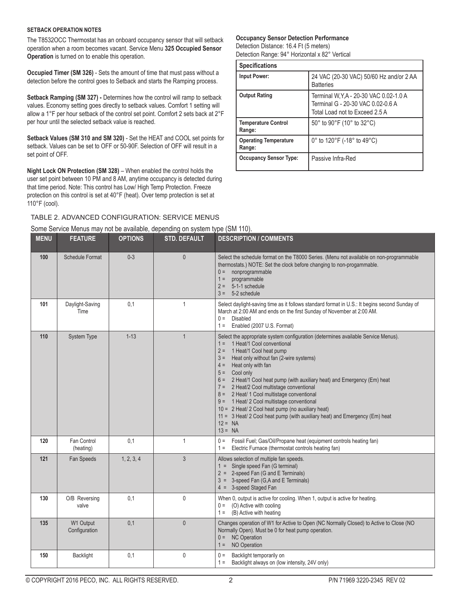#### **SETBACK OPERATION NOTES**

The T8532OCC Thermostat has an onboard occupancy sensor that will setback operation when a room becomes vacant. Service Menu **325 Occupied Sensor Operation** is turned on to enable this operation.

**Occupied Timer (SM 326)** - Sets the amount of time that must pass without a detection before the control goes to Setback and starts the Ramping process.

**Setback Ramping (SM 327) -** Determines how the control will ramp to setback values. Economy setting goes directly to setback values. Comfort 1 setting will allow a 1°F per hour setback of the control set point. Comfort 2 sets back at 2°F per hour until the selected setback value is reached.

**Setback Values (SM 310 and SM 320)** - Set the HEAT and COOL set points for setback. Values can be set to OFF or 50-90F. Selection of OFF will result in a set point of OFF.

**Night Lock ON Protection (SM 328)** – When enabled the control holds the user set point between 10 PM and 8 AM, anytime occupancy is detected during that time period. Note: This control has Low/ High Temp Protection. Freeze protection on this control is set at 40°F (heat). Over temp protection is set at 110°F (cool).

## TABLE 2. ADVANCED CONFIGURATION: SERVICE MENUS

### Some Service Menus may not be available, depending on system type (SM 110).

#### **Occupancy Sensor Detection Performance**

Detection Distance: 16.4 Ft (5 meters) Detection Range: 94° Horizontal x 82° Vertical

| <b>Specifications</b>                  |                                                                                                                |  |
|----------------------------------------|----------------------------------------------------------------------------------------------------------------|--|
| <b>Input Power:</b>                    | 24 VAC (20-30 VAC) 50/60 Hz and/or 2 AA<br><b>Batteries</b>                                                    |  |
| <b>Output Rating</b>                   | Terminal W, Y, A - 20-30 VAC 0.02-1.0 A<br>Terminal G - 20-30 VAC 0.02-0.6 A<br>Total Load not to Exceed 2.5 A |  |
| <b>Temperature Control</b><br>Range:   | 50° to 90°F (10° to 32°C)                                                                                      |  |
| <b>Operating Temperature</b><br>Range: | 0 $^{\circ}$ to 120 $^{\circ}$ F (-18 $^{\circ}$ to 49 $^{\circ}$ C)                                           |  |
| <b>Occupancy Sensor Type:</b>          | Passive Infra-Red                                                                                              |  |

| <b>MENU</b> | <b>FEATURE</b>             | <b>OPTIONS</b> | v,  v<br><b>STD. DEFAULT</b> | <b>DESCRIPTION / COMMENTS</b>                                                                                                                                                                                                                                                                                                                                                                                                                                                                                                                                                                                                                                 |
|-------------|----------------------------|----------------|------------------------------|---------------------------------------------------------------------------------------------------------------------------------------------------------------------------------------------------------------------------------------------------------------------------------------------------------------------------------------------------------------------------------------------------------------------------------------------------------------------------------------------------------------------------------------------------------------------------------------------------------------------------------------------------------------|
| 100         | <b>Schedule Format</b>     | $0 - 3$        | $\theta$                     | Select the schedule format on the T8000 Series. (Menu not available on non-programmable<br>thermostats.) NOTE: Set the clock before changing to non-progammable.<br>nonprogrammable<br>$0 =$<br>programmable<br>$1 =$<br>5-1-1 schedule<br>$2 =$<br>5-2 schedule<br>$3 =$                                                                                                                                                                                                                                                                                                                                                                                     |
| 101         | Daylight-Saving<br>Time    | 0,1            | $\mathbf{1}$                 | Select daylight-saving time as it follows standard format in U.S.: It begins second Sunday of<br>March at 2:00 AM and ends on the first Sunday of November at 2:00 AM.<br><b>Disabled</b><br>$0 =$<br>Enabled (2007 U.S. Format)<br>$1 =$                                                                                                                                                                                                                                                                                                                                                                                                                     |
| 110         | System Type                | $1 - 13$       | $\mathbf{1}$                 | Select the appropriate system configuration (determines available Service Menus).<br>1 Heat/1 Cool conventional<br>$1 =$<br>1 Heat/1 Cool heat pump<br>$2 =$<br>Heat only without fan (2-wire systems)<br>$3 =$<br>Heat only with fan<br>$4 =$<br>Cool only<br>$5 =$<br>2 Heat/1 Cool heat pump (with auxiliary heat) and Emergency (Em) heat<br>$6 =$<br>7 = 2 Heat/2 Cool multistage conventional<br>8 = 2 Heat/ 1 Cool multistage conventional<br>9 = 1 Heat/ 2 Cool multistage conventional<br>10 = 2 Heat/ 2 Cool heat pump (no auxiliary heat)<br>11 = 3 Heat/ 2 Cool heat pump (with auxiliary heat) and Emergency (Em) heat<br>$12 = NA$<br>$13 = NA$ |
| 120         | Fan Control<br>(heating)   | 0,1            | $\mathbf{1}$                 | Fossil Fuel; Gas/Oil/Propane heat (equipment controls heating fan)<br>$0 =$<br>Electric Furnace (thermostat controls heating fan)<br>$1 =$                                                                                                                                                                                                                                                                                                                                                                                                                                                                                                                    |
| 121         | Fan Speeds                 | 1, 2, 3, 4     | 3                            | Allows selection of multiple fan speeds.<br>1 = Single speed Fan (G terminal)<br>2 = 2-speed Fan (G and E Terminals)<br>3 = 3-speed Fan (G,A and E Terminals)<br>$4 = 3$ -speed Staged Fan                                                                                                                                                                                                                                                                                                                                                                                                                                                                    |
| 130         | O/B Reversing<br>valve     | 0,1            | $\mathbf 0$                  | When 0, output is active for cooling. When 1, output is active for heating.<br>(O) Active with cooling<br>$0 =$<br>(B) Active with heating<br>$1 =$                                                                                                                                                                                                                                                                                                                                                                                                                                                                                                           |
| 135         | W1 Output<br>Configuration | 0,1            | $\mathbf{0}$                 | Changes operation of W1 for Active to Open (NC Normally Closed) to Active to Close (NO<br>Normally Open). Must be 0 for heat pump operation.<br><b>NC Operation</b><br>$0 =$<br>NO Operation<br>$1 =$                                                                                                                                                                                                                                                                                                                                                                                                                                                         |
| 150         | Backlight                  | 0,1            | $\mathbf 0$                  | Backlight temporarily on<br>$0 =$<br>Backlight always on (low intensity, 24V only)<br>$1 =$                                                                                                                                                                                                                                                                                                                                                                                                                                                                                                                                                                   |

© COPYRIGHT 2016 PECO, INC. ALL RIGHTS RESERVED. 2 P/N 71969 3220-2345 REV 02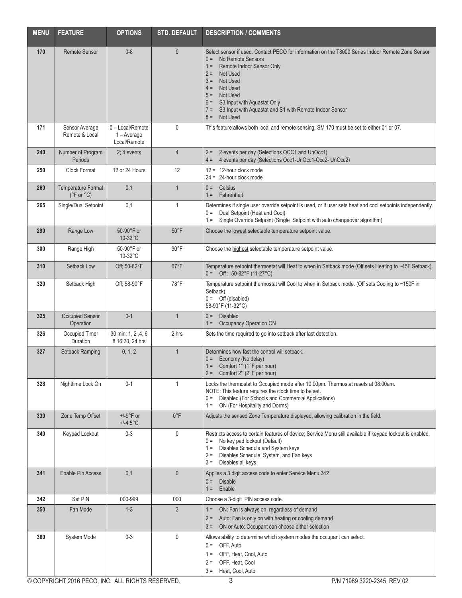| <b>MENU</b> | <b>FEATURE</b>                                       | <b>OPTIONS</b>                                    | <b>STD. DEFAULT</b> | <b>DESCRIPTION / COMMENTS</b>                                                                                                                                                                                                                                                                                                                                                               |
|-------------|------------------------------------------------------|---------------------------------------------------|---------------------|---------------------------------------------------------------------------------------------------------------------------------------------------------------------------------------------------------------------------------------------------------------------------------------------------------------------------------------------------------------------------------------------|
| 170         | <b>Remote Sensor</b>                                 | $0 - 8$                                           | $\mathbf{0}$        | Select sensor if used. Contact PECO for information on the T8000 Series Indoor Remote Zone Sensor.<br>No Remote Sensors<br>$0 =$<br>$1 =$<br>Remote Indoor Sensor Only<br>$2 =$<br>Not Used<br>Not Used<br>$3 =$<br>Not Used<br>$4 =$<br>$5 =$<br>Not Used<br>S3 Input with Aquastat Only<br>$6 =$<br>S3 Input with Aquastat and S1 with Remote Indoor Sensor<br>$7 =$<br>Not Used<br>$8 =$ |
| 171         | Sensor Average<br>Remote & Local                     | 0 - Local/Remote<br>$1 - Average$<br>Local/Remote | 0                   | This feature allows both local and remote sensing. SM 170 must be set to either 01 or 07.                                                                                                                                                                                                                                                                                                   |
| 240         | Number of Program<br>Periods                         | $2:4$ events                                      | $\overline{4}$      | 2 events per day (Selections OCC1 and UnOcc1)<br>$2 =$<br>4 events per day (Selections Occ1-UnOcc1-Occ2- UnOcc2)<br>$4 =$                                                                                                                                                                                                                                                                   |
| 250         | Clock Format                                         | 12 or 24 Hours                                    | 12                  | $12 = 12$ -hour clock mode<br>$24 = 24$ -hour clock mode                                                                                                                                                                                                                                                                                                                                    |
| 260         | Temperature Format<br>$(^{\circ}$ F or $^{\circ}$ C) | 0,1                                               | $\mathbf{1}$        | Celsius<br>$0 =$<br>Fahrenheit<br>$1 =$                                                                                                                                                                                                                                                                                                                                                     |
| 265         | Single/Dual Setpoint                                 | 0,1                                               | $\mathbf{1}$        | Determines if single user override setpoint is used, or if user sets heat and cool setpoints independently.<br>Dual Setpoint (Heat and Cool)<br>$0 =$<br>Single Override Setpoint (Single Setpoint with auto changeover algorithm)<br>$1 =$                                                                                                                                                 |
| 290         | Range Low                                            | 50-90°F or<br>10-32°C                             | $50^{\circ}$ F      | Choose the lowest selectable temperature setpoint value.                                                                                                                                                                                                                                                                                                                                    |
| 300         | Range High                                           | 50-90°F or<br>10-32°C                             | $90^{\circ}$ F      | Choose the highest selectable temperature setpoint value.                                                                                                                                                                                                                                                                                                                                   |
| 310         | Setback Low                                          | Off; 50-82°F                                      | $67^{\circ}F$       | Temperature setpoint thermostat will Heat to when in Setback mode (Off sets Heating to ~45F Setback).<br>$0 =$ Off; 50-82°F (11-27°C)                                                                                                                                                                                                                                                       |
| 320         | Setback High                                         | Off; 58-90°F                                      | $78^{\circ}$ F      | Temperature setpoint thermostat will Cool to when in Setback mode. (Off sets Cooling to ~150F in<br>Setback).<br>$0 =$ Off (disabled)<br>58-90°F (11-32°C)                                                                                                                                                                                                                                  |
| 325         | Occupied Sensor<br>Operation                         | $0 - 1$                                           | $\overline{1}$      | $0 =$<br><b>Disabled</b><br>Occupancy Operation ON<br>$1 =$                                                                                                                                                                                                                                                                                                                                 |
| 326         | Occupied Timer<br>Duration                           | 30 min; 1, 2, 4, 6<br>8,16,20, 24 hrs             | 2 hrs               | Sets the time required to go into setback after last detection.                                                                                                                                                                                                                                                                                                                             |
| 327         | Setback Ramping                                      | 0, 1, 2                                           | $\mathbf{1}$        | Determines how fast the control will setback.<br>Economy (No delay)<br>$0 =$<br>$1 =$ Comfort $1^{\circ}$ (1°F per hour)<br>$2 =$ Comfort 2° (2°F per hour)                                                                                                                                                                                                                                 |
| 328         | Nighttime Lock On                                    | $0 - 1$                                           | 1                   | Locks the thermostat to Occupied mode after 10:00pm. Thermostat resets at 08:00am.<br>NOTE: This feature requires the clock time to be set.<br>Disabled (For Schools and Commercial Applications)<br>$0 =$<br>ON (For Hospitality and Dorms)<br>$1 =$                                                                                                                                       |
| 330         | Zone Temp Offset                                     | $+/-9$ °F or<br>$+/-4.5$ °C                       | $0^{\circ}$ F       | Adjusts the sensed Zone Temperature displayed, allowing calibration in the field.                                                                                                                                                                                                                                                                                                           |
| 340         | Keypad Lockout                                       | $0 - 3$                                           | 0                   | Restricts access to certain features of device; Service Menu still available if keypad lockout is enabled.<br>No key pad lockout (Default)<br>$0 =$<br>Disables Schedule and System keys<br>$1 =$<br>$2 =$<br>Disables Schedule, System, and Fan keys<br>Disables all keys<br>$3 =$                                                                                                         |
| 341         | <b>Enable Pin Access</b>                             | 0,1                                               | $\theta$            | Applies a 3 digit access code to enter Service Menu 342<br><b>Disable</b><br>$0 =$<br>Enable<br>$1 =$                                                                                                                                                                                                                                                                                       |
| 342         | Set PIN                                              | 000-999                                           | 000                 | Choose a 3-digit PIN access code.                                                                                                                                                                                                                                                                                                                                                           |
| 350         | Fan Mode                                             | $1 - 3$                                           | $\mathfrak{Z}$      | ON: Fan is always on, regardless of demand<br>$1 =$<br>Auto: Fan is only on with heating or cooling demand<br>$2 =$<br>ON or Auto: Occupant can choose either selection<br>$3 =$                                                                                                                                                                                                            |
| 360         | System Mode                                          | $0 - 3$                                           | 0                   | Allows ability to determine which system modes the occupant can select.<br>OFF, Auto<br>$0 =$<br>OFF, Heat, Cool, Auto<br>$1 =$<br>OFF, Heat, Cool<br>$2 =$<br>Heat, Cool, Auto<br>$3 =$                                                                                                                                                                                                    |